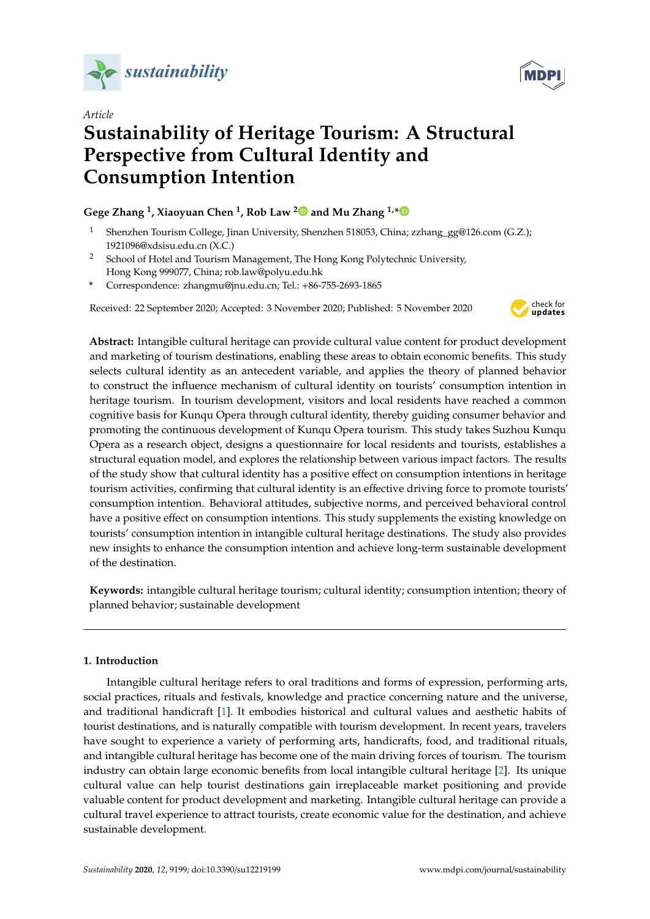



# *Article* **Sustainability of Heritage Tourism: A Structural Perspective from Cultural Identity and Consumption Intention**

# **Gege Zhang <sup>1</sup> , Xiaoyuan Chen <sup>1</sup> , Rob Law [2](https://orcid.org/0000-0001-7199-3757) and Mu Zhang 1,[\\*](https://orcid.org/0000-0003-4682-8156)**

- <sup>1</sup> Shenzhen Tourism College, Jinan University, Shenzhen 518053, China; zzhang\_gg@126.com (G.Z.); 1921096@xdsisu.edu.cn (X.C.)
- <sup>2</sup> School of Hotel and Tourism Management, The Hong Kong Polytechnic University, Hong Kong 999077, China; rob.law@polyu.edu.hk
- **\*** Correspondence: zhangmu@jnu.edu.cn; Tel.: +86-755-2693-1865

Received: 22 September 2020; Accepted: 3 November 2020; Published: 5 November 2020



**Abstract:** Intangible cultural heritage can provide cultural value content for product development and marketing of tourism destinations, enabling these areas to obtain economic benefits. This study selects cultural identity as an antecedent variable, and applies the theory of planned behavior to construct the influence mechanism of cultural identity on tourists' consumption intention in heritage tourism. In tourism development, visitors and local residents have reached a common cognitive basis for Kunqu Opera through cultural identity, thereby guiding consumer behavior and promoting the continuous development of Kunqu Opera tourism. This study takes Suzhou Kunqu Opera as a research object, designs a questionnaire for local residents and tourists, establishes a structural equation model, and explores the relationship between various impact factors. The results of the study show that cultural identity has a positive effect on consumption intentions in heritage tourism activities, confirming that cultural identity is an effective driving force to promote tourists' consumption intention. Behavioral attitudes, subjective norms, and perceived behavioral control have a positive effect on consumption intentions. This study supplements the existing knowledge on tourists' consumption intention in intangible cultural heritage destinations. The study also provides new insights to enhance the consumption intention and achieve long-term sustainable development of the destination.

**Keywords:** intangible cultural heritage tourism; cultural identity; consumption intention; theory of planned behavior; sustainable development

# **1. Introduction**

Intangible cultural heritage refers to oral traditions and forms of expression, performing arts, social practices, rituals and festivals, knowledge and practice concerning nature and the universe, and traditional handicraft [\[1\]](#page-13-0). It embodies historical and cultural values and aesthetic habits of tourist destinations, and is naturally compatible with tourism development. In recent years, travelers have sought to experience a variety of performing arts, handicrafts, food, and traditional rituals, and intangible cultural heritage has become one of the main driving forces of tourism. The tourism industry can obtain large economic benefits from local intangible cultural heritage [\[2\]](#page-13-1). Its unique cultural value can help tourist destinations gain irreplaceable market positioning and provide valuable content for product development and marketing. Intangible cultural heritage can provide a cultural travel experience to attract tourists, create economic value for the destination, and achieve sustainable development.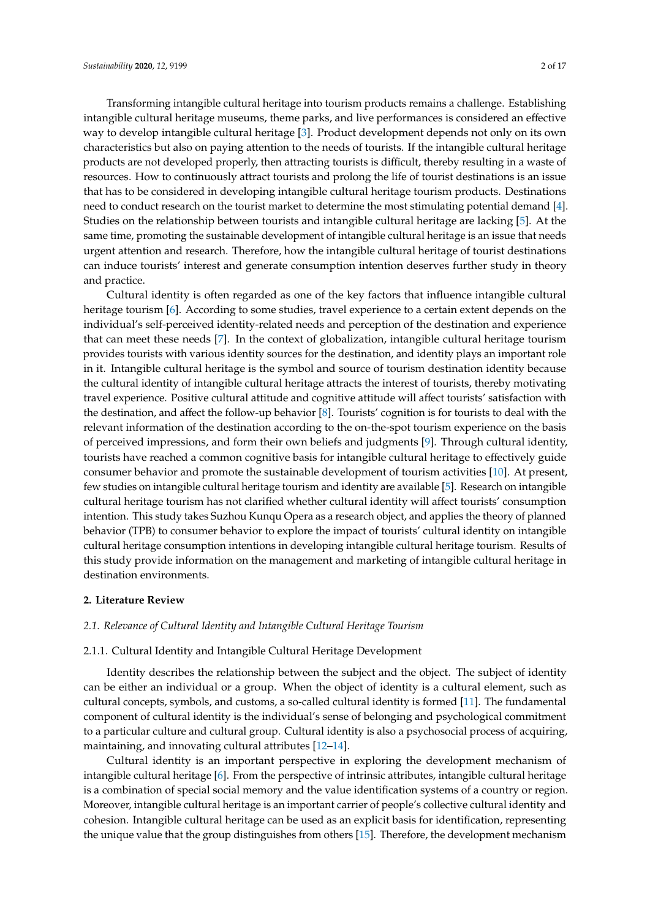Transforming intangible cultural heritage into tourism products remains a challenge. Establishing intangible cultural heritage museums, theme parks, and live performances is considered an effective way to develop intangible cultural heritage [\[3\]](#page-13-2). Product development depends not only on its own characteristics but also on paying attention to the needs of tourists. If the intangible cultural heritage products are not developed properly, then attracting tourists is difficult, thereby resulting in a waste of resources. How to continuously attract tourists and prolong the life of tourist destinations is an issue that has to be considered in developing intangible cultural heritage tourism products. Destinations need to conduct research on the tourist market to determine the most stimulating potential demand [\[4\]](#page-13-3). Studies on the relationship between tourists and intangible cultural heritage are lacking [\[5\]](#page-13-4). At the same time, promoting the sustainable development of intangible cultural heritage is an issue that needs urgent attention and research. Therefore, how the intangible cultural heritage of tourist destinations can induce tourists' interest and generate consumption intention deserves further study in theory and practice.

Cultural identity is often regarded as one of the key factors that influence intangible cultural heritage tourism [\[6\]](#page-13-5). According to some studies, travel experience to a certain extent depends on the individual's self-perceived identity-related needs and perception of the destination and experience that can meet these needs [\[7\]](#page-13-6). In the context of globalization, intangible cultural heritage tourism provides tourists with various identity sources for the destination, and identity plays an important role in it. Intangible cultural heritage is the symbol and source of tourism destination identity because the cultural identity of intangible cultural heritage attracts the interest of tourists, thereby motivating travel experience. Positive cultural attitude and cognitive attitude will affect tourists' satisfaction with the destination, and affect the follow-up behavior [\[8\]](#page-13-7). Tourists' cognition is for tourists to deal with the relevant information of the destination according to the on-the-spot tourism experience on the basis of perceived impressions, and form their own beliefs and judgments [\[9\]](#page-13-8). Through cultural identity, tourists have reached a common cognitive basis for intangible cultural heritage to effectively guide consumer behavior and promote the sustainable development of tourism activities [\[10\]](#page-13-9). At present, few studies on intangible cultural heritage tourism and identity are available [\[5\]](#page-13-4). Research on intangible cultural heritage tourism has not clarified whether cultural identity will affect tourists' consumption intention. This study takes Suzhou Kunqu Opera as a research object, and applies the theory of planned behavior (TPB) to consumer behavior to explore the impact of tourists' cultural identity on intangible cultural heritage consumption intentions in developing intangible cultural heritage tourism. Results of this study provide information on the management and marketing of intangible cultural heritage in destination environments.

## **2. Literature Review**

# *2.1. Relevance of Cultural Identity and Intangible Cultural Heritage Tourism*

# 2.1.1. Cultural Identity and Intangible Cultural Heritage Development

Identity describes the relationship between the subject and the object. The subject of identity can be either an individual or a group. When the object of identity is a cultural element, such as cultural concepts, symbols, and customs, a so-called cultural identity is formed [\[11\]](#page-13-10). The fundamental component of cultural identity is the individual's sense of belonging and psychological commitment to a particular culture and cultural group. Cultural identity is also a psychosocial process of acquiring, maintaining, and innovating cultural attributes [\[12–](#page-13-11)[14\]](#page-13-12).

Cultural identity is an important perspective in exploring the development mechanism of intangible cultural heritage [\[6\]](#page-13-5). From the perspective of intrinsic attributes, intangible cultural heritage is a combination of special social memory and the value identification systems of a country or region. Moreover, intangible cultural heritage is an important carrier of people's collective cultural identity and cohesion. Intangible cultural heritage can be used as an explicit basis for identification, representing the unique value that the group distinguishes from others [\[15\]](#page-13-13). Therefore, the development mechanism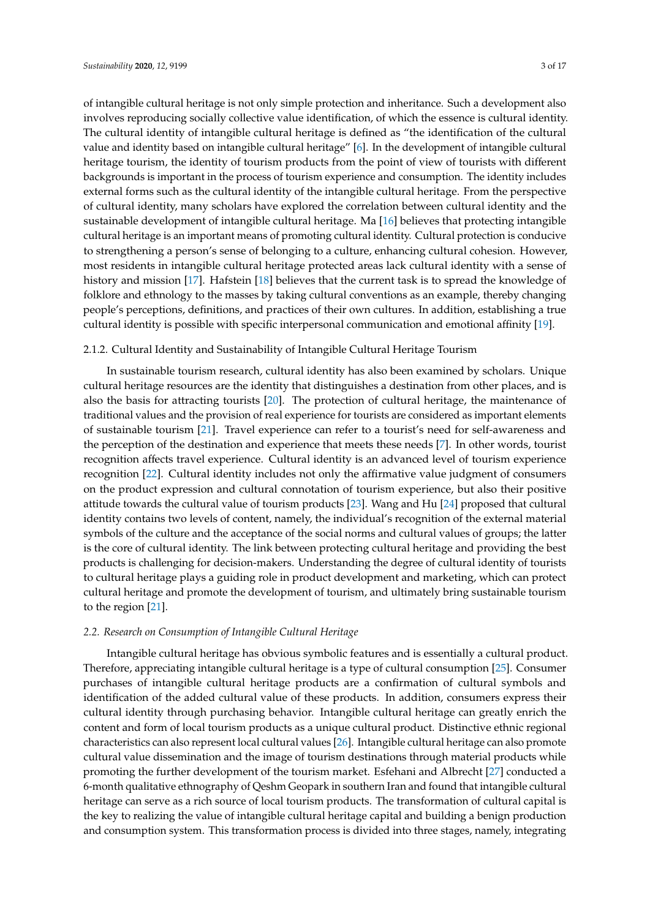of intangible cultural heritage is not only simple protection and inheritance. Such a development also involves reproducing socially collective value identification, of which the essence is cultural identity. The cultural identity of intangible cultural heritage is defined as "the identification of the cultural value and identity based on intangible cultural heritage" [\[6\]](#page-13-5). In the development of intangible cultural heritage tourism, the identity of tourism products from the point of view of tourists with different backgrounds is important in the process of tourism experience and consumption. The identity includes external forms such as the cultural identity of the intangible cultural heritage. From the perspective of cultural identity, many scholars have explored the correlation between cultural identity and the sustainable development of intangible cultural heritage. Ma [\[16\]](#page-13-14) believes that protecting intangible cultural heritage is an important means of promoting cultural identity. Cultural protection is conducive to strengthening a person's sense of belonging to a culture, enhancing cultural cohesion. However, most residents in intangible cultural heritage protected areas lack cultural identity with a sense of history and mission [\[17\]](#page-13-15). Hafstein [\[18\]](#page-13-16) believes that the current task is to spread the knowledge of folklore and ethnology to the masses by taking cultural conventions as an example, thereby changing people's perceptions, definitions, and practices of their own cultures. In addition, establishing a true cultural identity is possible with specific interpersonal communication and emotional affinity [\[19\]](#page-13-17).

# 2.1.2. Cultural Identity and Sustainability of Intangible Cultural Heritage Tourism

In sustainable tourism research, cultural identity has also been examined by scholars. Unique cultural heritage resources are the identity that distinguishes a destination from other places, and is also the basis for attracting tourists [\[20\]](#page-13-18). The protection of cultural heritage, the maintenance of traditional values and the provision of real experience for tourists are considered as important elements of sustainable tourism [\[21\]](#page-13-19). Travel experience can refer to a tourist's need for self-awareness and the perception of the destination and experience that meets these needs [\[7\]](#page-13-6). In other words, tourist recognition affects travel experience. Cultural identity is an advanced level of tourism experience recognition [\[22\]](#page-13-20). Cultural identity includes not only the affirmative value judgment of consumers on the product expression and cultural connotation of tourism experience, but also their positive attitude towards the cultural value of tourism products [\[23\]](#page-14-0). Wang and Hu [\[24\]](#page-14-1) proposed that cultural identity contains two levels of content, namely, the individual's recognition of the external material symbols of the culture and the acceptance of the social norms and cultural values of groups; the latter is the core of cultural identity. The link between protecting cultural heritage and providing the best products is challenging for decision-makers. Understanding the degree of cultural identity of tourists to cultural heritage plays a guiding role in product development and marketing, which can protect cultural heritage and promote the development of tourism, and ultimately bring sustainable tourism to the region [\[21\]](#page-13-19).

### *2.2. Research on Consumption of Intangible Cultural Heritage*

Intangible cultural heritage has obvious symbolic features and is essentially a cultural product. Therefore, appreciating intangible cultural heritage is a type of cultural consumption [\[25\]](#page-14-2). Consumer purchases of intangible cultural heritage products are a confirmation of cultural symbols and identification of the added cultural value of these products. In addition, consumers express their cultural identity through purchasing behavior. Intangible cultural heritage can greatly enrich the content and form of local tourism products as a unique cultural product. Distinctive ethnic regional characteristics can also represent local cultural values [\[26\]](#page-14-3). Intangible cultural heritage can also promote cultural value dissemination and the image of tourism destinations through material products while promoting the further development of the tourism market. Esfehani and Albrecht [\[27\]](#page-14-4) conducted a 6-month qualitative ethnography of Qeshm Geopark in southern Iran and found that intangible cultural heritage can serve as a rich source of local tourism products. The transformation of cultural capital is the key to realizing the value of intangible cultural heritage capital and building a benign production and consumption system. This transformation process is divided into three stages, namely, integrating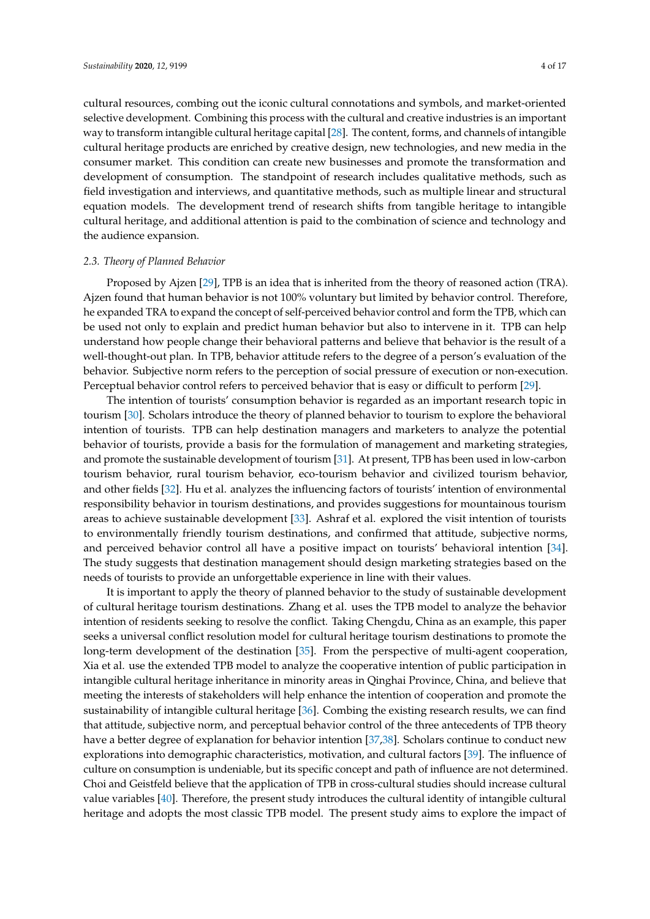cultural resources, combing out the iconic cultural connotations and symbols, and market-oriented selective development. Combining this process with the cultural and creative industries is an important way to transform intangible cultural heritage capital [\[28\]](#page-14-5). The content, forms, and channels of intangible cultural heritage products are enriched by creative design, new technologies, and new media in the consumer market. This condition can create new businesses and promote the transformation and development of consumption. The standpoint of research includes qualitative methods, such as field investigation and interviews, and quantitative methods, such as multiple linear and structural equation models. The development trend of research shifts from tangible heritage to intangible cultural heritage, and additional attention is paid to the combination of science and technology and the audience expansion.

#### *2.3. Theory of Planned Behavior*

Proposed by Ajzen [\[29\]](#page-14-6), TPB is an idea that is inherited from the theory of reasoned action (TRA). Ajzen found that human behavior is not 100% voluntary but limited by behavior control. Therefore, he expanded TRA to expand the concept of self-perceived behavior control and form the TPB, which can be used not only to explain and predict human behavior but also to intervene in it. TPB can help understand how people change their behavioral patterns and believe that behavior is the result of a well-thought-out plan. In TPB, behavior attitude refers to the degree of a person's evaluation of the behavior. Subjective norm refers to the perception of social pressure of execution or non-execution. Perceptual behavior control refers to perceived behavior that is easy or difficult to perform [\[29\]](#page-14-6).

The intention of tourists' consumption behavior is regarded as an important research topic in tourism [\[30\]](#page-14-7). Scholars introduce the theory of planned behavior to tourism to explore the behavioral intention of tourists. TPB can help destination managers and marketers to analyze the potential behavior of tourists, provide a basis for the formulation of management and marketing strategies, and promote the sustainable development of tourism [\[31\]](#page-14-8). At present, TPB has been used in low-carbon tourism behavior, rural tourism behavior, eco-tourism behavior and civilized tourism behavior, and other fields [\[32\]](#page-14-9). Hu et al. analyzes the influencing factors of tourists' intention of environmental responsibility behavior in tourism destinations, and provides suggestions for mountainous tourism areas to achieve sustainable development [\[33\]](#page-14-10). Ashraf et al. explored the visit intention of tourists to environmentally friendly tourism destinations, and confirmed that attitude, subjective norms, and perceived behavior control all have a positive impact on tourists' behavioral intention [\[34\]](#page-14-11). The study suggests that destination management should design marketing strategies based on the needs of tourists to provide an unforgettable experience in line with their values.

It is important to apply the theory of planned behavior to the study of sustainable development of cultural heritage tourism destinations. Zhang et al. uses the TPB model to analyze the behavior intention of residents seeking to resolve the conflict. Taking Chengdu, China as an example, this paper seeks a universal conflict resolution model for cultural heritage tourism destinations to promote the long-term development of the destination [\[35\]](#page-14-12). From the perspective of multi-agent cooperation, Xia et al. use the extended TPB model to analyze the cooperative intention of public participation in intangible cultural heritage inheritance in minority areas in Qinghai Province, China, and believe that meeting the interests of stakeholders will help enhance the intention of cooperation and promote the sustainability of intangible cultural heritage [\[36\]](#page-14-13). Combing the existing research results, we can find that attitude, subjective norm, and perceptual behavior control of the three antecedents of TPB theory have a better degree of explanation for behavior intention [\[37](#page-14-14)[,38\]](#page-14-15). Scholars continue to conduct new explorations into demographic characteristics, motivation, and cultural factors [\[39\]](#page-14-16). The influence of culture on consumption is undeniable, but its specific concept and path of influence are not determined. Choi and Geistfeld believe that the application of TPB in cross-cultural studies should increase cultural value variables [\[40\]](#page-14-17). Therefore, the present study introduces the cultural identity of intangible cultural heritage and adopts the most classic TPB model. The present study aims to explore the impact of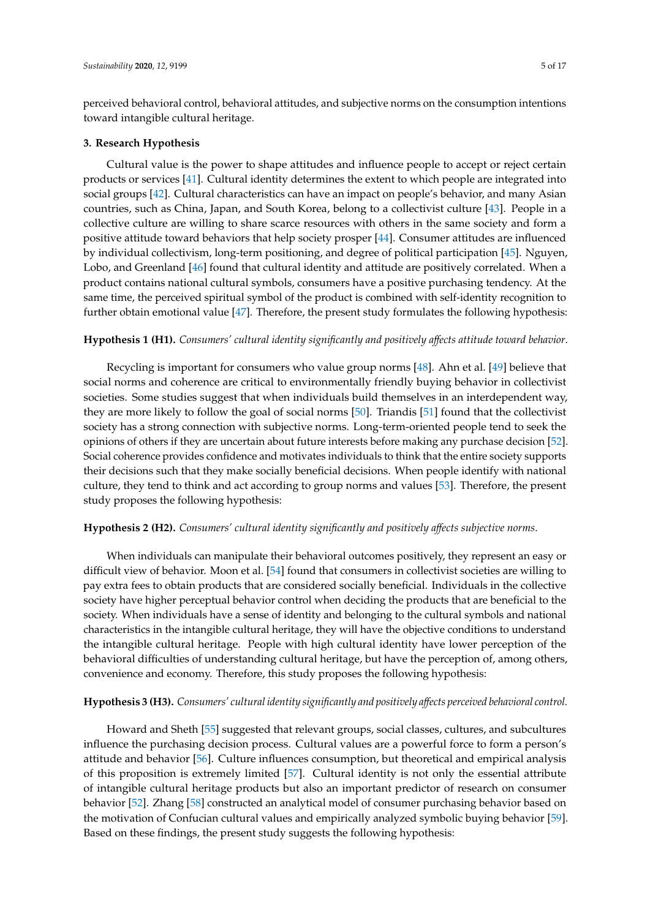perceived behavioral control, behavioral attitudes, and subjective norms on the consumption intentions toward intangible cultural heritage.

#### **3. Research Hypothesis**

Cultural value is the power to shape attitudes and influence people to accept or reject certain products or services [\[41\]](#page-14-18). Cultural identity determines the extent to which people are integrated into social groups [\[42\]](#page-14-19). Cultural characteristics can have an impact on people's behavior, and many Asian countries, such as China, Japan, and South Korea, belong to a collectivist culture [\[43\]](#page-14-20). People in a collective culture are willing to share scarce resources with others in the same society and form a positive attitude toward behaviors that help society prosper [\[44\]](#page-14-21). Consumer attitudes are influenced by individual collectivism, long-term positioning, and degree of political participation [\[45\]](#page-14-22). Nguyen, Lobo, and Greenland [\[46\]](#page-14-23) found that cultural identity and attitude are positively correlated. When a product contains national cultural symbols, consumers have a positive purchasing tendency. At the same time, the perceived spiritual symbol of the product is combined with self-identity recognition to further obtain emotional value [\[47\]](#page-14-24). Therefore, the present study formulates the following hypothesis:

#### **Hypothesis 1 (H1).** *Consumers' cultural identity significantly and positively a*ff*ects attitude toward behavior*.

Recycling is important for consumers who value group norms [\[48\]](#page-15-0). Ahn et al. [\[49\]](#page-15-1) believe that social norms and coherence are critical to environmentally friendly buying behavior in collectivist societies. Some studies suggest that when individuals build themselves in an interdependent way, they are more likely to follow the goal of social norms [\[50\]](#page-15-2). Triandis [\[51\]](#page-15-3) found that the collectivist society has a strong connection with subjective norms. Long-term-oriented people tend to seek the opinions of others if they are uncertain about future interests before making any purchase decision [\[52\]](#page-15-4). Social coherence provides confidence and motivates individuals to think that the entire society supports their decisions such that they make socially beneficial decisions. When people identify with national culture, they tend to think and act according to group norms and values [\[53\]](#page-15-5). Therefore, the present study proposes the following hypothesis:

#### **Hypothesis 2 (H2).** *Consumers' cultural identity significantly and positively a*ff*ects subjective norms*.

When individuals can manipulate their behavioral outcomes positively, they represent an easy or difficult view of behavior. Moon et al. [\[54\]](#page-15-6) found that consumers in collectivist societies are willing to pay extra fees to obtain products that are considered socially beneficial. Individuals in the collective society have higher perceptual behavior control when deciding the products that are beneficial to the society. When individuals have a sense of identity and belonging to the cultural symbols and national characteristics in the intangible cultural heritage, they will have the objective conditions to understand the intangible cultural heritage. People with high cultural identity have lower perception of the behavioral difficulties of understanding cultural heritage, but have the perception of, among others, convenience and economy. Therefore, this study proposes the following hypothesis:

#### **Hypothesis 3 (H3).** *Consumers' cultural identity significantly and positively a*ff*ects perceived behavioral control.*

Howard and Sheth [\[55\]](#page-15-7) suggested that relevant groups, social classes, cultures, and subcultures influence the purchasing decision process. Cultural values are a powerful force to form a person's attitude and behavior [\[56\]](#page-15-8). Culture influences consumption, but theoretical and empirical analysis of this proposition is extremely limited [\[57\]](#page-15-9). Cultural identity is not only the essential attribute of intangible cultural heritage products but also an important predictor of research on consumer behavior [\[52\]](#page-15-4). Zhang [\[58\]](#page-15-10) constructed an analytical model of consumer purchasing behavior based on the motivation of Confucian cultural values and empirically analyzed symbolic buying behavior [\[59\]](#page-15-11). Based on these findings, the present study suggests the following hypothesis: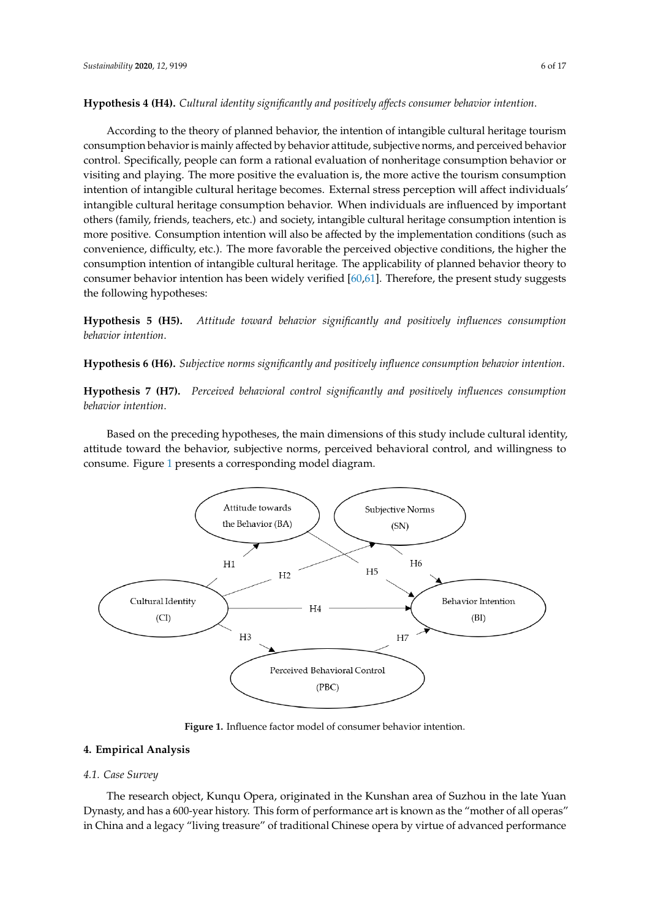**Hypothesis 4 (H4).** *Cultural identity significantly and positively a*ff*ects consumer behavior intention*.

According to the theory of planned behavior, the intention of intangible cultural heritage tourism consumption behavior is mainly affected by behavior attitude, subjective norms, and perceived behavior control. Specifically, people can form a rational evaluation of nonheritage consumption behavior or visiting and playing. The more positive the evaluation is, the more active the tourism consumption intention of intangible cultural heritage becomes. External stress perception will affect individuals' intangible cultural heritage consumption behavior. When individuals are influenced by important others (family, friends, teachers, etc.) and society, intangible cultural heritage consumption intention is more positive. Consumption intention will also be affected by the implementation conditions (such as convenience, difficulty, etc.). The more favorable the perceived objective conditions, the higher the consumption intention of intangible cultural heritage. The applicability of planned behavior theory to consumer behavior int[en](#page-15-12)[tion](#page-15-13) has been widely verified [60,61]. Therefore, the present study suggests the following hypotheses:  $\frac{1}{2}$ 

**Hypothesis 5 (H5).** *Attitude toward behavior significantly and positively influences consumption behavior intention.* **Attitude to a significantly and positively influences consumption behavior intention.** 

**Hypothesis 6 (H6).** Subjective norms significantly and positively influence consumption behavior intention.

**Hypothesis 7 (H7).** Perceived behavioral control significantly and positively influences consumption *behavior intention*. *intention.*

Based on the preceding hypotheses, the main dimensions of this study include cultural identity, Based on the preceding hypotheses, the main dimensions of this study include cultural identity, attitude toward the behavior, subjective norms, perceived behavioral control, and willingness to attitude toward the behavior, subjective norms, perceived behavioral control, and willingness to consume. Figure 1 presents a corresponding model diagram. consume. Figure [1 p](#page-5-0)resents a corresponding model diagram.

<span id="page-5-0"></span>

**Figure 1.** Influence factor model of consumer behavior intention. **Figure 1.** Influence factor model of consumer behavior intention.

# **4. Empirical Analysis 4. Empirical Analysis**

#### *4.1. Case Survey 4.1. Case Survey*

Dynasty, and has a 600-year history. This form of performance art is known as the "mother of all operas" in China and a logacy "living troacure" of traditional Chinese opera by virtue of advanced performance in China and a legacy "living treasure" of traditional Chinese opera by virtue of advanced performance The research object, Kunqu Opera, originated in the Kunshan area of Suzhou in the late Yuan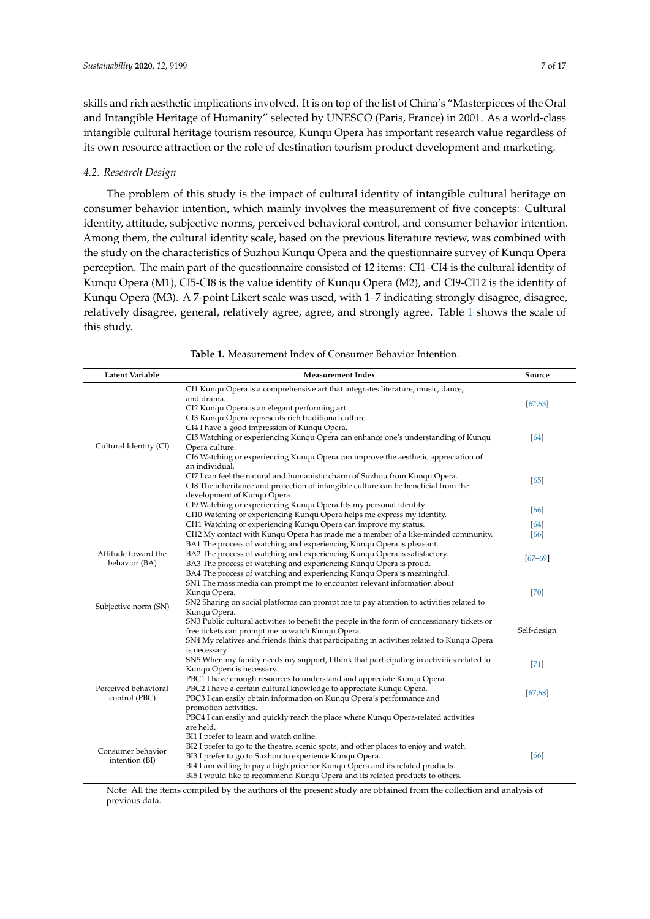skills and rich aesthetic implications involved. It is on top of the list of China's "Masterpieces of the Oral and Intangible Heritage of Humanity" selected by UNESCO (Paris, France) in 2001. As a world-class intangible cultural heritage tourism resource, Kunqu Opera has important research value regardless of its own resource attraction or the role of destination tourism product development and marketing.

## *4.2. Research Design*

The problem of this study is the impact of cultural identity of intangible cultural heritage on consumer behavior intention, which mainly involves the measurement of five concepts: Cultural identity, attitude, subjective norms, perceived behavioral control, and consumer behavior intention. Among them, the cultural identity scale, based on the previous literature review, was combined with the study on the characteristics of Suzhou Kunqu Opera and the questionnaire survey of Kunqu Opera perception. The main part of the questionnaire consisted of 12 items: CI1–CI4 is the cultural identity of Kunqu Opera (M1), CI5-CI8 is the value identity of Kunqu Opera (M2), and CI9-CI12 is the identity of Kunqu Opera (M3). A 7-point Likert scale was used, with 1–7 indicating strongly disagree, disagree, relatively disagree, general, relatively agree, agree, and strongly agree. Table [1](#page-6-0) shows the scale of this study.

<span id="page-6-0"></span>

| Latent Variable                       | <b>Measurement Index</b>                                                                                                                                                                                                                                                                                                             | Source      |
|---------------------------------------|--------------------------------------------------------------------------------------------------------------------------------------------------------------------------------------------------------------------------------------------------------------------------------------------------------------------------------------|-------------|
|                                       | CI1 Kunqu Opera is a comprehensive art that integrates literature, music, dance,<br>and drama.<br>CI2 Kunqu Opera is an elegant performing art.                                                                                                                                                                                      | [62, 63]    |
| Cultural Identity (CI)                | CI3 Kunqu Opera represents rich traditional culture.<br>CI4 I have a good impression of Kunqu Opera.                                                                                                                                                                                                                                 |             |
|                                       | CI5 Watching or experiencing Kunqu Opera can enhance one's understanding of Kunqu<br>Opera culture.<br>CI6 Watching or experiencing Kunqu Opera can improve the aesthetic appreciation of                                                                                                                                            | 64          |
|                                       | an individual.<br>CI7 I can feel the natural and humanistic charm of Suzhou from Kunqu Opera.<br>CI8 The inheritance and protection of intangible culture can be beneficial from the                                                                                                                                                 | [65]        |
|                                       | development of Kunqu Opera<br>CI9 Watching or experiencing Kunqu Opera fits my personal identity.<br>CI10 Watching or experiencing Kunqu Opera helps me express my identity.                                                                                                                                                         | 66          |
|                                       | CI11 Watching or experiencing Kunqu Opera can improve my status.<br>CI12 My contact with Kunqu Opera has made me a member of a like-minded community.                                                                                                                                                                                | 64<br>66    |
| Attitude toward the                   | BA1 The process of watching and experiencing Kunqu Opera is pleasant.<br>BA2 The process of watching and experiencing Kunqu Opera is satisfactory.                                                                                                                                                                                   | $67 - 69$   |
| behavior (BA)<br>Subjective norm (SN) | BA3 The process of watching and experiencing Kunqu Opera is proud.<br>BA4 The process of watching and experiencing Kunqu Opera is meaningful.<br>SN1 The mass media can prompt me to encounter relevant information about<br>Kunqu Opera.<br>SN2 Sharing on social platforms can prompt me to pay attention to activities related to | [70]        |
|                                       | Kunqu Opera.<br>SN3 Public cultural activities to benefit the people in the form of concessionary tickets or<br>free tickets can prompt me to watch Kunqu Opera.<br>SN4 My relatives and friends think that participating in activities related to Kunqu Opera                                                                       | Self-design |
|                                       | is necessary.<br>SN5 When my family needs my support, I think that participating in activities related to<br>Kunqu Opera is necessary.                                                                                                                                                                                               | $[71]$      |
| Perceived behavioral<br>control (PBC) | PBC1 I have enough resources to understand and appreciate Kunqu Opera.<br>PBC2 I have a certain cultural knowledge to appreciate Kunqu Opera.<br>PBC3 I can easily obtain information on Kungu Opera's performance and<br>promotion activities.                                                                                      | [67, 68]    |
|                                       | PBC4 I can easily and quickly reach the place where Kunqu Opera-related activities<br>are held.<br>BI1 I prefer to learn and watch online.                                                                                                                                                                                           |             |
| Consumer behavior<br>intention (BI)   | BI2 I prefer to go to the theatre, scenic spots, and other places to enjoy and watch.<br>BI3 I prefer to go to Suzhou to experience Kunqu Opera.<br>BI4 I am willing to pay a high price for Kunqu Opera and its related products.<br>BI5 I would like to recommend Kunqu Opera and its related products to others.                  | [66]        |

**Table 1.** Measurement Index of Consumer Behavior Intention.

Note: All the items compiled by the authors of the present study are obtained from the collection and analysis of previous data.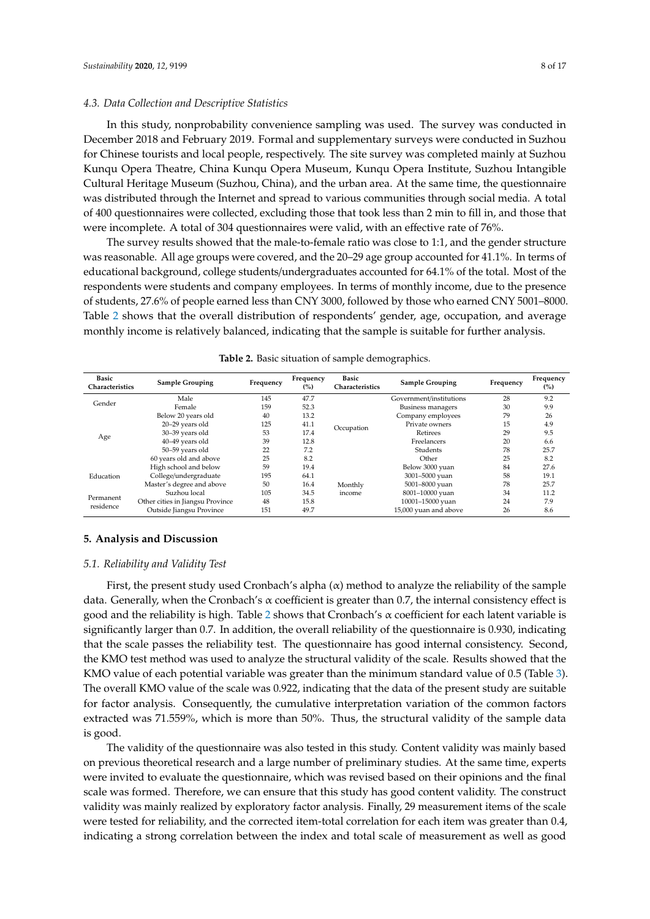#### *4.3. Data Collection and Descriptive Statistics*

In this study, nonprobability convenience sampling was used. The survey was conducted in December 2018 and February 2019. Formal and supplementary surveys were conducted in Suzhou for Chinese tourists and local people, respectively. The site survey was completed mainly at Suzhou Kunqu Opera Theatre, China Kunqu Opera Museum, Kunqu Opera Institute, Suzhou Intangible Cultural Heritage Museum (Suzhou, China), and the urban area. At the same time, the questionnaire was distributed through the Internet and spread to various communities through social media. A total of 400 questionnaires were collected, excluding those that took less than 2 min to fill in, and those that were incomplete. A total of 304 questionnaires were valid, with an effective rate of 76%.

The survey results showed that the male-to-female ratio was close to 1:1, and the gender structure was reasonable. All age groups were covered, and the 20–29 age group accounted for 41.1%. In terms of educational background, college students/undergraduates accounted for 64.1% of the total. Most of the respondents were students and company employees. In terms of monthly income, due to the presence of students, 27.6% of people earned less than CNY 3000, followed by those who earned CNY 5001–8000. Table [2](#page-7-0) shows that the overall distribution of respondents' gender, age, occupation, and average monthly income is relatively balanced, indicating that the sample is suitable for further analysis.

<span id="page-7-0"></span>

| Basic<br>Characteristics | <b>Sample Grouping</b>           | Frequency | Frequency<br>(%) | <b>Basic</b><br>Characteristics | <b>Sample Grouping</b>  | Frequency | Frequency<br>(%) |
|--------------------------|----------------------------------|-----------|------------------|---------------------------------|-------------------------|-----------|------------------|
|                          | Male                             | 145       | 47.7             |                                 | Government/institutions | 28        | 9.2              |
| Gender                   | Female                           | 159       | 52.3             |                                 | Business managers       | 30        | 9.9              |
|                          | Below 20 years old               | 40        | 13.2             |                                 | Company employees       | 79        | 26               |
|                          | 20-29 years old                  | 125       | 41.1             | Occupation                      | Private owners          | 15        | 4.9              |
| Age                      | 30-39 years old                  | 53        | 17.4             |                                 | Retirees                | 29        | 9.5              |
|                          | 40-49 years old                  | 39        | 12.8             |                                 | Freelancers             | 20        | 6.6              |
|                          | 50-59 years old                  | 22        | 7.2              |                                 | <b>Students</b>         | 78        | 25.7             |
|                          | 60 years old and above           | 25        | 8.2              |                                 | Other                   | 25        | 8.2              |
|                          | High school and below            | 59        | 19.4             |                                 | Below 3000 yuan         | 84        | 27.6             |
| Education                | College/undergraduate            | 195       | 64.1             |                                 | 3001-5000 yuan          | 58        | 19.1             |
|                          | Master's degree and above        | 50        | 16.4             | Monthly                         | 5001-8000 yuan          | 78        | 25.7             |
| Permanent<br>residence   | Suzhou local                     | 105       | 34.5             | income                          | 8001-10000 yuan         | 34        | 11.2             |
|                          | Other cities in Jiangsu Province | 48        | 15.8             |                                 | 10001-15000 yuan        | 24        | 7.9              |
|                          | Outside Jiangsu Province         | 151       | 49.7             |                                 | 15,000 yuan and above   | 26        | 8.6              |

| Table 2. Basic situation of sample demographics. |  |
|--------------------------------------------------|--|
|--------------------------------------------------|--|

#### **5. Analysis and Discussion**

#### *5.1. Reliability and Validity Test*

First, the present study used Cronbach's alpha  $(\alpha)$  method to analyze the reliability of the sample data. Generally, when the Cronbach's  $\alpha$  coefficient is greater than 0.7, the internal consistency effect is good and the reliability is high. Table [2](#page-7-0) shows that Cronbach's  $\alpha$  coefficient for each latent variable is significantly larger than 0.7. In addition, the overall reliability of the questionnaire is 0.930, indicating that the scale passes the reliability test. The questionnaire has good internal consistency. Second, the KMO test method was used to analyze the structural validity of the scale. Results showed that the KMO value of each potential variable was greater than the minimum standard value of 0.5 (Table [3\)](#page-8-0). The overall KMO value of the scale was 0.922, indicating that the data of the present study are suitable for factor analysis. Consequently, the cumulative interpretation variation of the common factors extracted was 71.559%, which is more than 50%. Thus, the structural validity of the sample data is good.

The validity of the questionnaire was also tested in this study. Content validity was mainly based on previous theoretical research and a large number of preliminary studies. At the same time, experts were invited to evaluate the questionnaire, which was revised based on their opinions and the final scale was formed. Therefore, we can ensure that this study has good content validity. The construct validity was mainly realized by exploratory factor analysis. Finally, 29 measurement items of the scale were tested for reliability, and the corrected item-total correlation for each item was greater than 0.4, indicating a strong correlation between the index and total scale of measurement as well as good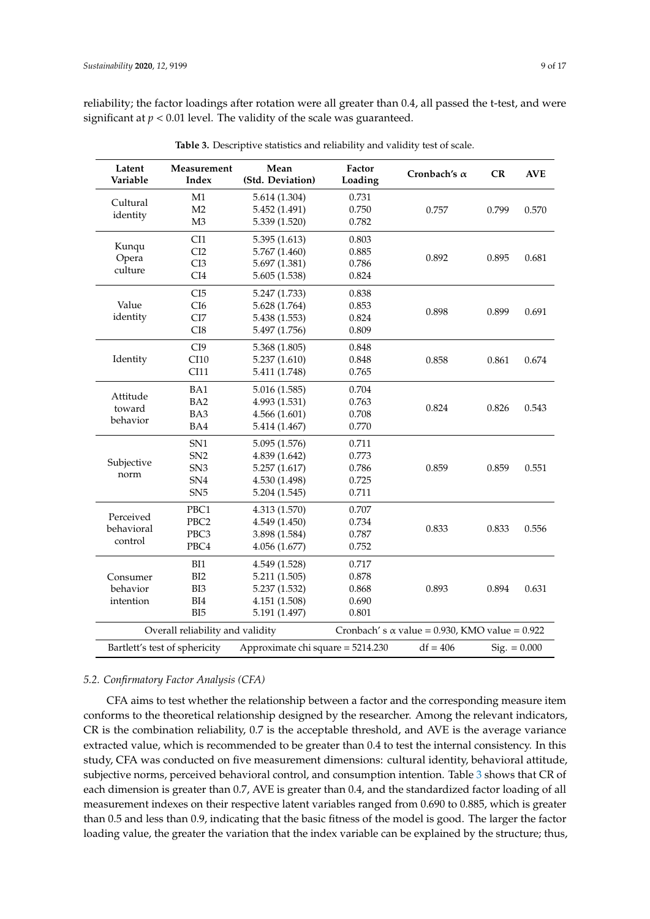reliability; the factor loadings after rotation were all greater than 0.4, all passed the t-test, and were significant at  $p < 0.01$  level. The validity of the scale was guaranteed.

<span id="page-8-0"></span>

| Latent<br>Variable            | Measurement<br>Index             | Mean<br>(Std. Deviation)          | Factor<br>Loading | Cronbach's $\alpha$                                   | CR    | <b>AVE</b>     |
|-------------------------------|----------------------------------|-----------------------------------|-------------------|-------------------------------------------------------|-------|----------------|
|                               | M1                               | 5.614 (1.304)                     | 0.731             |                                                       |       |                |
| Cultural                      | M <sub>2</sub>                   | 5.452 (1.491)                     | 0.750             | 0.757                                                 | 0.799 | 0.570          |
| identity                      | M3                               | 5.339 (1.520)                     | 0.782             |                                                       |       |                |
|                               | CI1                              | 5.395(1.613)                      | 0.803             |                                                       |       |                |
| Kunqu                         | CI <sub>2</sub>                  | 5.767 (1.460)                     | 0.885             | 0.892                                                 | 0.895 | 0.681          |
| Opera                         | CI3                              | 5.697 (1.381)                     | 0.786             |                                                       |       |                |
| culture                       | CI <sub>4</sub>                  | 5.605(1.538)                      | 0.824             |                                                       |       |                |
|                               | CI <sub>5</sub>                  | 5.247 (1.733)                     | 0.838             |                                                       |       |                |
| Value                         | CI <sub>6</sub>                  | 5.628 (1.764)                     | 0.853             |                                                       |       |                |
| identity                      | CI7                              | 5.438 (1.553)                     | 0.824             | 0.898                                                 | 0.899 | 0.691          |
|                               | CI8                              | 5.497 (1.756)                     | 0.809             |                                                       |       |                |
|                               | CI <sub>9</sub>                  | 5.368 (1.805)                     | 0.848             |                                                       |       |                |
| Identity                      | C <sub>I10</sub>                 | 5.237(1.610)                      | 0.848             | 0.858                                                 | 0.861 | 0.674          |
|                               | C <sub>I11</sub>                 | 5.411 (1.748)                     | 0.765             |                                                       |       |                |
|                               | BA1                              | 5.016(1.585)                      | 0.704             |                                                       |       |                |
| Attitude                      | BA <sub>2</sub>                  | 4.993 (1.531)                     | 0.763             |                                                       |       |                |
| toward                        | BA3                              | 4.566(1.601)                      | 0.708             | 0.824                                                 | 0.826 | 0.543          |
| behavior                      | BA4                              | 5.414 (1.467)                     | 0.770             |                                                       |       |                |
|                               | SN <sub>1</sub>                  | 5.095 (1.576)                     | 0.711             |                                                       |       |                |
|                               | SN <sub>2</sub>                  | 4.839 (1.642)                     | 0.773             |                                                       |       |                |
| Subjective                    | SN <sub>3</sub>                  | 5.257(1.617)                      | 0.786             | 0.859                                                 | 0.859 | 0.551          |
| norm                          | SN <sub>4</sub>                  | 4.530 (1.498)                     | 0.725             |                                                       |       |                |
|                               | SN5                              | 5.204 (1.545)                     | 0.711             |                                                       |       |                |
|                               | PBC1                             | 4.313 (1.570)                     | 0.707             |                                                       |       |                |
| Perceived                     | PBC <sub>2</sub>                 | 4.549 (1.450)                     | 0.734             | 0.833                                                 | 0.833 | 0.556          |
| behavioral                    | PBC3                             | 3.898 (1.584)                     | 0.787             |                                                       |       |                |
| control                       | PBC4                             | 4.056 (1.677)                     | 0.752             |                                                       |       |                |
|                               | BI1                              | 4.549 (1.528)                     | 0.717             |                                                       |       |                |
| Consumer                      | BI <sub>2</sub>                  | 5.211 (1.505)                     | 0.878             |                                                       |       |                |
| behavior                      | BI3                              | 5.237 (1.532)                     | 0.868             | 0.893                                                 | 0.894 | 0.631          |
| intention                     | BI4                              | 4.151(1.508)                      | 0.690             |                                                       |       |                |
|                               | BI <sub>5</sub>                  | 5.191 (1.497)                     | 0.801             |                                                       |       |                |
|                               | Overall reliability and validity |                                   |                   | Cronbach' s $\alpha$ value = 0.930, KMO value = 0.922 |       |                |
| Bartlett's test of sphericity |                                  | Approximate chi square = 5214.230 |                   | $df = 406$                                            |       | $Sig. = 0.000$ |

**Table 3.** Descriptive statistics and reliability and validity test of scale.

## *5.2. Confirmatory Factor Analysis (CFA)*

CFA aims to test whether the relationship between a factor and the corresponding measure item conforms to the theoretical relationship designed by the researcher. Among the relevant indicators, CR is the combination reliability, 0.7 is the acceptable threshold, and AVE is the average variance extracted value, which is recommended to be greater than 0.4 to test the internal consistency. In this study, CFA was conducted on five measurement dimensions: cultural identity, behavioral attitude, subjective norms, perceived behavioral control, and consumption intention. Table [3](#page-8-0) shows that CR of each dimension is greater than 0.7, AVE is greater than 0.4, and the standardized factor loading of all measurement indexes on their respective latent variables ranged from 0.690 to 0.885, which is greater than 0.5 and less than 0.9, indicating that the basic fitness of the model is good. The larger the factor loading value, the greater the variation that the index variable can be explained by the structure; thus,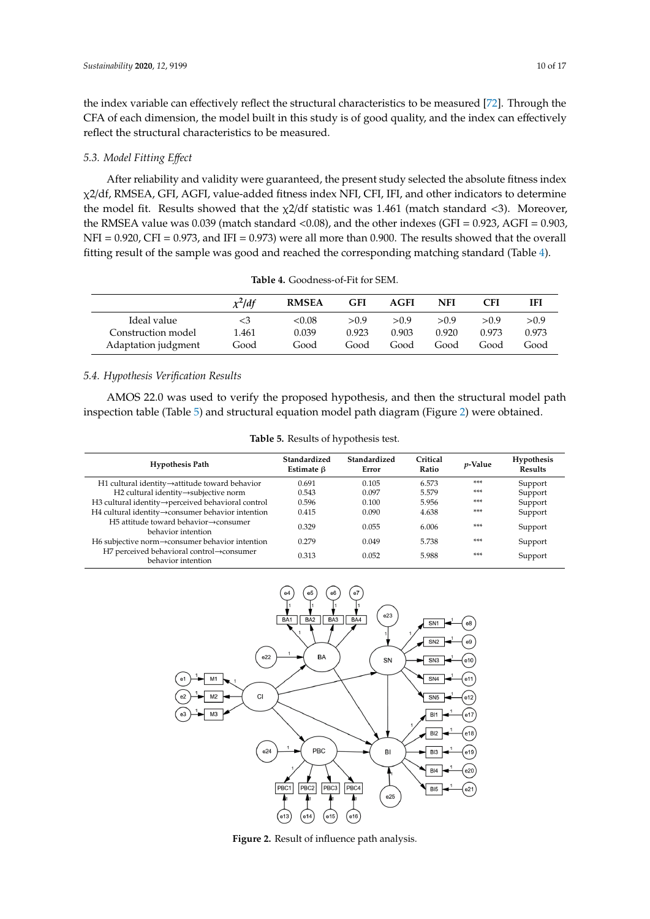the index variable can effectively reflect the structural characteristics to be measured [\[72\]](#page-15-24). Through the CFA of each dimension, the model built in this study is of good quality, and the index can effectively reflect the structural characteristics to be measured.

# *5.3. Model Fitting E*ff*ect*

After reliability and validity were guaranteed, the present study selected the absolute fitness index χ2/df, RMSEA, GFI, AGFI, value-added fitness index NFI, CFI, IFI, and other indicators to determine the model fit. Results showed that the  $\chi$ 2/df statistic was 1.461 (match standard <3). Moreover, the RMSEA value was 0.039 (match standard <0.08), and the other indexes (GFI =  $0.923$ , AGFI =  $0.903$ ,  $NFI = 0.920$ , CFI = 0.973, and IFI = 0.973) were all more than 0.900. The results showed that the overall fitting result of the sample was good and reached the corresponding matching standard (Table [4\)](#page-9-0).

<span id="page-9-0"></span>

|                     | $\chi^2$ /df | <b>RMSEA</b> | GFI   | <b>AGFI</b> | NFI   | CFI   | IFI   |
|---------------------|--------------|--------------|-------|-------------|-------|-------|-------|
| Ideal value         | <3           | < 0.08       | > 0.9 | > 0.9       | > 0.9 | > 0.9 | > 0.9 |
| Construction model  | 1.461        | 0.039        | 0.923 | 0.903       | 0.920 | 0.973 | 0.973 |
| Adaptation judgment | Good         | Good         | Good  | Good        | Good  | Good  | Good  |

**Table 4.** Goodness-of-Fit for SEM.

### *5.4. Hypothesis Verification Results*

AMOS 22.0 was used to verify the proposed hypothesis, and then the structural model path inspection table (Table [5\)](#page-9-1) and structural equation model path diagram (Figure [2\)](#page-9-2) were obtained.

| Table 5. Results of hypothesis test. |  |
|--------------------------------------|--|
|--------------------------------------|--|

<span id="page-9-1"></span>

| Hypothesis Path                                                | Standardized<br>Estimate $\beta$ | Standardized<br>Error | Critical<br>Ratio | <i>p</i> -Value | <b>Hypothesis</b><br><b>Results</b> |
|----------------------------------------------------------------|----------------------------------|-----------------------|-------------------|-----------------|-------------------------------------|
| H1 cultural identity $\rightarrow$ attitude toward behavior    | 0.691                            | 0.105                 | 6.573             | ***             | Support                             |
| H2 cultural identity→subjective norm                           | 0.543                            | 0.097                 | 5.579             | ***             | Support                             |
| H3 cultural identity→perceived behavioral control              | 0.596                            | 0.100                 | 5.956             | ***             | Support                             |
| H4 cultural identity→consumer behavior intention               | 0.415                            | 0.090                 | 4.638             | ***             | Support                             |
| H5 attitude toward behavior→consumer<br>behavior intention     | 0.329                            | 0.055                 | 6.006             | ***             | Support                             |
| H6 subjective norm→consumer behavior intention                 | 0.279                            | 0.049                 | 5.738             | ***             | Support                             |
| H7 perceived behavioral control→consumer<br>behavior intention | 0.313                            | 0.052                 | 5.988             | ***             | Support                             |

<span id="page-9-2"></span>

**Figure 2.** Result of influence path analysis.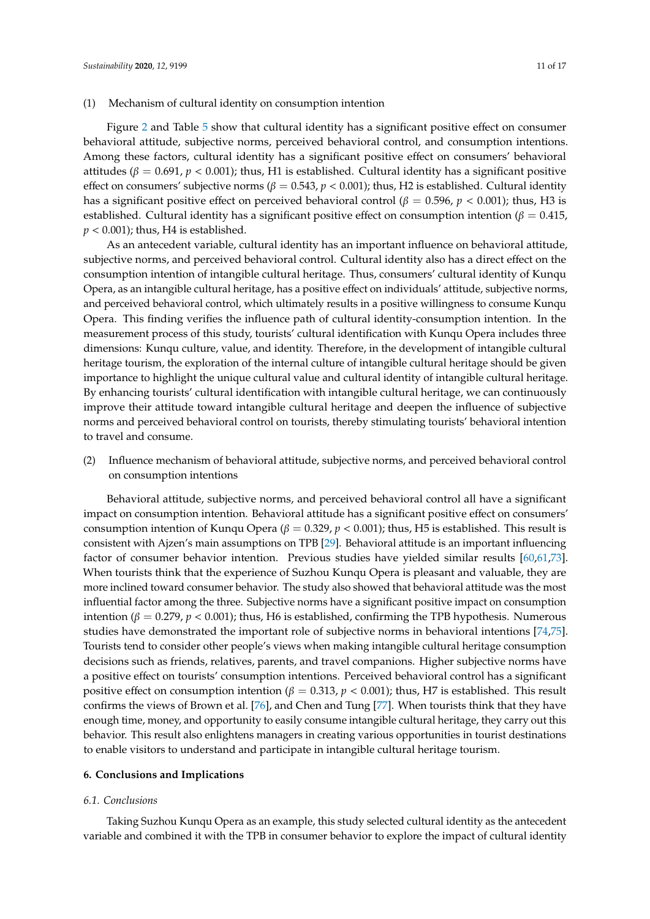#### (1) Mechanism of cultural identity on consumption intention

Figure [2](#page-9-2) and Table [5](#page-9-1) show that cultural identity has a significant positive effect on consumer behavioral attitude, subjective norms, perceived behavioral control, and consumption intentions. Among these factors, cultural identity has a significant positive effect on consumers' behavioral attitudes ( $β = 0.691, p < 0.001$ ); thus, H1 is established. Cultural identity has a significant positive effect on consumers' subjective norms ( $\beta = 0.543$ ,  $p < 0.001$ ); thus, H2 is established. Cultural identity has a significant positive effect on perceived behavioral control ( $\beta = 0.596$ ,  $p < 0.001$ ); thus, H3 is established. Cultural identity has a significant positive effect on consumption intention ( $\beta = 0.415$ ,  $p < 0.001$ ); thus, H4 is established.

As an antecedent variable, cultural identity has an important influence on behavioral attitude, subjective norms, and perceived behavioral control. Cultural identity also has a direct effect on the consumption intention of intangible cultural heritage. Thus, consumers' cultural identity of Kunqu Opera, as an intangible cultural heritage, has a positive effect on individuals' attitude, subjective norms, and perceived behavioral control, which ultimately results in a positive willingness to consume Kunqu Opera. This finding verifies the influence path of cultural identity-consumption intention. In the measurement process of this study, tourists' cultural identification with Kunqu Opera includes three dimensions: Kunqu culture, value, and identity. Therefore, in the development of intangible cultural heritage tourism, the exploration of the internal culture of intangible cultural heritage should be given importance to highlight the unique cultural value and cultural identity of intangible cultural heritage. By enhancing tourists' cultural identification with intangible cultural heritage, we can continuously improve their attitude toward intangible cultural heritage and deepen the influence of subjective norms and perceived behavioral control on tourists, thereby stimulating tourists' behavioral intention to travel and consume.

(2) Influence mechanism of behavioral attitude, subjective norms, and perceived behavioral control on consumption intentions

Behavioral attitude, subjective norms, and perceived behavioral control all have a significant impact on consumption intention. Behavioral attitude has a significant positive effect on consumers' consumption intention of Kunqu Opera ( $\beta = 0.329$ ,  $p < 0.001$ ); thus, H5 is established. This result is consistent with Ajzen's main assumptions on TPB [\[29\]](#page-14-6). Behavioral attitude is an important influencing factor of consumer behavior intention. Previous studies have yielded similar results [\[60,](#page-15-12)[61,](#page-15-13)[73\]](#page-15-25). When tourists think that the experience of Suzhou Kunqu Opera is pleasant and valuable, they are more inclined toward consumer behavior. The study also showed that behavioral attitude was the most influential factor among the three. Subjective norms have a significant positive impact on consumption intention ( $\beta = 0.279$ ,  $p < 0.001$ ); thus, H6 is established, confirming the TPB hypothesis. Numerous studies have demonstrated the important role of subjective norms in behavioral intentions [\[74,](#page-15-26)[75\]](#page-15-27). Tourists tend to consider other people's views when making intangible cultural heritage consumption decisions such as friends, relatives, parents, and travel companions. Higher subjective norms have a positive effect on tourists' consumption intentions. Perceived behavioral control has a significant positive effect on consumption intention ( $\beta = 0.313$ ,  $p < 0.001$ ); thus, H7 is established. This result confirms the views of Brown et al. [\[76\]](#page-16-0), and Chen and Tung [\[77\]](#page-16-1). When tourists think that they have enough time, money, and opportunity to easily consume intangible cultural heritage, they carry out this behavior. This result also enlightens managers in creating various opportunities in tourist destinations to enable visitors to understand and participate in intangible cultural heritage tourism.

#### **6. Conclusions and Implications**

## *6.1. Conclusions*

Taking Suzhou Kunqu Opera as an example, this study selected cultural identity as the antecedent variable and combined it with the TPB in consumer behavior to explore the impact of cultural identity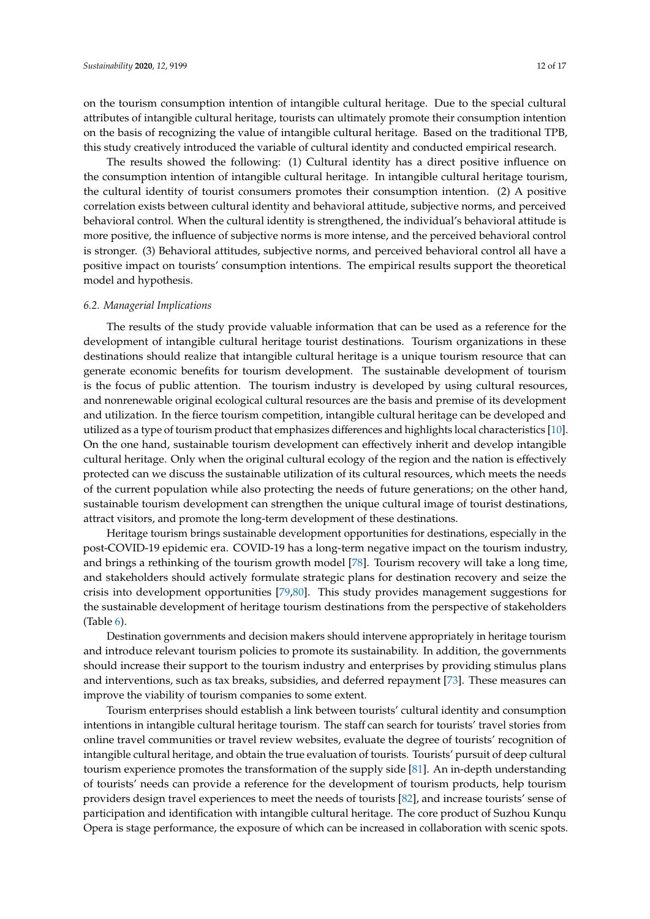on the tourism consumption intention of intangible cultural heritage. Due to the special cultural attributes of intangible cultural heritage, tourists can ultimately promote their consumption intention on the basis of recognizing the value of intangible cultural heritage. Based on the traditional TPB, this study creatively introduced the variable of cultural identity and conducted empirical research.

The results showed the following: (1) Cultural identity has a direct positive influence on the consumption intention of intangible cultural heritage. In intangible cultural heritage tourism, the cultural identity of tourist consumers promotes their consumption intention. (2) A positive correlation exists between cultural identity and behavioral attitude, subjective norms, and perceived behavioral control. When the cultural identity is strengthened, the individual's behavioral attitude is more positive, the influence of subjective norms is more intense, and the perceived behavioral control is stronger. (3) Behavioral attitudes, subjective norms, and perceived behavioral control all have a positive impact on tourists' consumption intentions. The empirical results support the theoretical model and hypothesis.

#### *6.2. Managerial Implications*

The results of the study provide valuable information that can be used as a reference for the development of intangible cultural heritage tourist destinations. Tourism organizations in these destinations should realize that intangible cultural heritage is a unique tourism resource that can generate economic benefits for tourism development. The sustainable development of tourism is the focus of public attention. The tourism industry is developed by using cultural resources, and nonrenewable original ecological cultural resources are the basis and premise of its development and utilization. In the fierce tourism competition, intangible cultural heritage can be developed and utilized as a type of tourism product that emphasizes differences and highlights local characteristics [\[10\]](#page-13-9). On the one hand, sustainable tourism development can effectively inherit and develop intangible cultural heritage. Only when the original cultural ecology of the region and the nation is effectively protected can we discuss the sustainable utilization of its cultural resources, which meets the needs of the current population while also protecting the needs of future generations; on the other hand, sustainable tourism development can strengthen the unique cultural image of tourist destinations, attract visitors, and promote the long-term development of these destinations.

Heritage tourism brings sustainable development opportunities for destinations, especially in the post-COVID-19 epidemic era. COVID-19 has a long-term negative impact on the tourism industry, and brings a rethinking of the tourism growth model [\[78\]](#page-16-2). Tourism recovery will take a long time, and stakeholders should actively formulate strategic plans for destination recovery and seize the crisis into development opportunities [\[79](#page-16-3)[,80\]](#page-16-4). This study provides management suggestions for the sustainable development of heritage tourism destinations from the perspective of stakeholders (Table [6\)](#page-12-0).

Destination governments and decision makers should intervene appropriately in heritage tourism and introduce relevant tourism policies to promote its sustainability. In addition, the governments should increase their support to the tourism industry and enterprises by providing stimulus plans and interventions, such as tax breaks, subsidies, and deferred repayment [\[73\]](#page-15-25). These measures can improve the viability of tourism companies to some extent.

Tourism enterprises should establish a link between tourists' cultural identity and consumption intentions in intangible cultural heritage tourism. The staff can search for tourists' travel stories from online travel communities or travel review websites, evaluate the degree of tourists' recognition of intangible cultural heritage, and obtain the true evaluation of tourists. Tourists' pursuit of deep cultural tourism experience promotes the transformation of the supply side [\[81\]](#page-16-5). An in-depth understanding of tourists' needs can provide a reference for the development of tourism products, help tourism providers design travel experiences to meet the needs of tourists [\[82\]](#page-16-6), and increase tourists' sense of participation and identification with intangible cultural heritage. The core product of Suzhou Kunqu Opera is stage performance, the exposure of which can be increased in collaboration with scenic spots.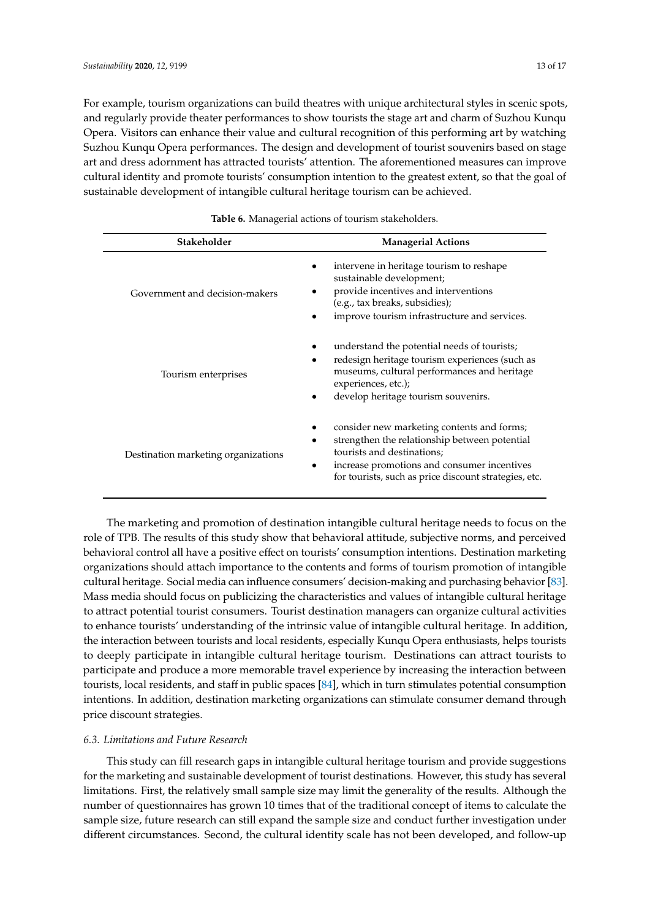For example, tourism organizations can build theatres with unique architectural styles in scenic spots, and regularly provide theater performances to show tourists the stage art and charm of Suzhou Kunqu Opera. Visitors can enhance their value and cultural recognition of this performing art by watching Suzhou Kunqu Opera performances. The design and development of tourist souvenirs based on stage art and dress adornment has attracted tourists' attention. The aforementioned measures can improve cultural identity and promote tourists' consumption intention to the greatest extent, so that the goal of sustainable development of intangible cultural heritage tourism can be achieved.

<span id="page-12-0"></span>

| Stakeholder                         | <b>Managerial Actions</b>                                                                                                                                                                                                                        |  |  |  |
|-------------------------------------|--------------------------------------------------------------------------------------------------------------------------------------------------------------------------------------------------------------------------------------------------|--|--|--|
| Government and decision-makers      | intervene in heritage tourism to reshape<br>sustainable development;<br>provide incentives and interventions<br>(e.g., tax breaks, subsidies);<br>improve tourism infrastructure and services.                                                   |  |  |  |
| Tourism enterprises                 | understand the potential needs of tourists;<br>redesign heritage tourism experiences (such as<br>museums, cultural performances and heritage<br>experiences, etc.);<br>develop heritage tourism souvenirs.                                       |  |  |  |
| Destination marketing organizations | consider new marketing contents and forms;<br>٠<br>strengthen the relationship between potential<br>٠<br>tourists and destinations;<br>increase promotions and consumer incentives<br>٠<br>for tourists, such as price discount strategies, etc. |  |  |  |

|  | Table 6. Managerial actions of tourism stakeholders. |
|--|------------------------------------------------------|
|--|------------------------------------------------------|

The marketing and promotion of destination intangible cultural heritage needs to focus on the role of TPB. The results of this study show that behavioral attitude, subjective norms, and perceived behavioral control all have a positive effect on tourists' consumption intentions. Destination marketing organizations should attach importance to the contents and forms of tourism promotion of intangible cultural heritage. Social media can influence consumers' decision-making and purchasing behavior [\[83\]](#page-16-7). Mass media should focus on publicizing the characteristics and values of intangible cultural heritage to attract potential tourist consumers. Tourist destination managers can organize cultural activities to enhance tourists' understanding of the intrinsic value of intangible cultural heritage. In addition, the interaction between tourists and local residents, especially Kunqu Opera enthusiasts, helps tourists to deeply participate in intangible cultural heritage tourism. Destinations can attract tourists to participate and produce a more memorable travel experience by increasing the interaction between tourists, local residents, and staff in public spaces [\[84\]](#page-16-8), which in turn stimulates potential consumption intentions. In addition, destination marketing organizations can stimulate consumer demand through price discount strategies.

### *6.3. Limitations and Future Research*

This study can fill research gaps in intangible cultural heritage tourism and provide suggestions for the marketing and sustainable development of tourist destinations. However, this study has several limitations. First, the relatively small sample size may limit the generality of the results. Although the number of questionnaires has grown 10 times that of the traditional concept of items to calculate the sample size, future research can still expand the sample size and conduct further investigation under different circumstances. Second, the cultural identity scale has not been developed, and follow-up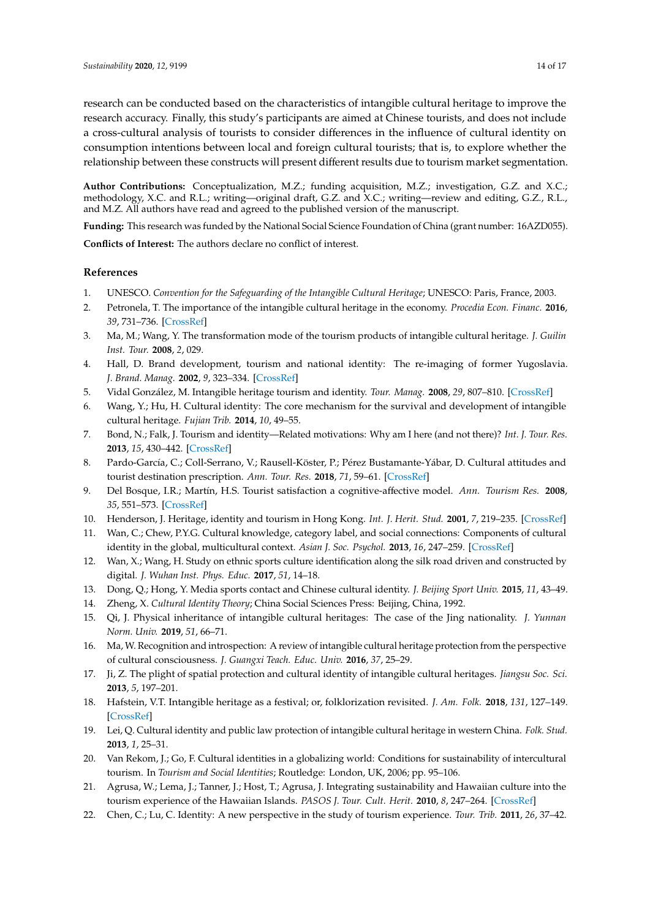research can be conducted based on the characteristics of intangible cultural heritage to improve the research accuracy. Finally, this study's participants are aimed at Chinese tourists, and does not include a cross-cultural analysis of tourists to consider differences in the influence of cultural identity on consumption intentions between local and foreign cultural tourists; that is, to explore whether the relationship between these constructs will present different results due to tourism market segmentation.

**Author Contributions:** Conceptualization, M.Z.; funding acquisition, M.Z.; investigation, G.Z. and X.C.; methodology, X.C. and R.L.; writing—original draft, G.Z. and X.C.; writing—review and editing, G.Z., R.L., and M.Z. All authors have read and agreed to the published version of the manuscript.

**Funding:** This research was funded by the National Social Science Foundation of China (grant number: 16AZD055).

**Conflicts of Interest:** The authors declare no conflict of interest.

# **References**

- <span id="page-13-0"></span>1. UNESCO. *Convention for the Safeguarding of the Intangible Cultural Heritage*; UNESCO: Paris, France, 2003.
- <span id="page-13-1"></span>2. Petronela, T. The importance of the intangible cultural heritage in the economy. *Procedia Econ. Financ.* **2016**, *39*, 731–736. [\[CrossRef\]](http://dx.doi.org/10.1016/S2212-5671(16)30271-4)
- <span id="page-13-2"></span>3. Ma, M.; Wang, Y. The transformation mode of the tourism products of intangible cultural heritage. *J. Guilin Inst. Tour.* **2008**, *2*, 029.
- <span id="page-13-3"></span>4. Hall, D. Brand development, tourism and national identity: The re-imaging of former Yugoslavia. *J. Brand. Manag.* **2002**, *9*, 323–334. [\[CrossRef\]](http://dx.doi.org/10.1057/palgrave.bm.2540081)
- <span id="page-13-4"></span>5. Vidal González, M. Intangible heritage tourism and identity. *Tour. Manag.* **2008**, *29*, 807–810. [\[CrossRef\]](http://dx.doi.org/10.1016/j.tourman.2007.07.003)
- <span id="page-13-5"></span>6. Wang, Y.; Hu, H. Cultural identity: The core mechanism for the survival and development of intangible cultural heritage. *Fujian Trib.* **2014**, *10*, 49–55.
- <span id="page-13-6"></span>7. Bond, N.; Falk, J. Tourism and identity—Related motivations: Why am I here (and not there)? *Int. J. Tour. Res.* **2013**, *15*, 430–442. [\[CrossRef\]](http://dx.doi.org/10.1002/jtr.1886)
- <span id="page-13-7"></span>8. Pardo-García, C.; Coll-Serrano, V.; Rausell-Köster, P.; Pérez Bustamante-Yábar, D. Cultural attitudes and tourist destination prescription. *Ann. Tour. Res.* **2018**, *71*, 59–61. [\[CrossRef\]](http://dx.doi.org/10.1016/j.annals.2018.01.003)
- <span id="page-13-8"></span>9. Del Bosque, I.R.; Martín, H.S. Tourist satisfaction a cognitive-affective model. *Ann. Tourism Res.* **2008**, *35*, 551–573. [\[CrossRef\]](http://dx.doi.org/10.1016/j.annals.2008.02.006)
- <span id="page-13-9"></span>10. Henderson, J. Heritage, identity and tourism in Hong Kong. *Int. J. Herit. Stud.* **2001**, *7*, 219–235. [\[CrossRef\]](http://dx.doi.org/10.1080/13527250120079402)
- <span id="page-13-10"></span>11. Wan, C.; Chew, P.Y.G. Cultural knowledge, category label, and social connections: Components of cultural identity in the global, multicultural context. *Asian J. Soc. Psychol.* **2013**, *16*, 247–259. [\[CrossRef\]](http://dx.doi.org/10.1111/ajsp.12029)
- <span id="page-13-11"></span>12. Wan, X.; Wang, H. Study on ethnic sports culture identification along the silk road driven and constructed by digital. *J. Wuhan Inst. Phys. Educ.* **2017**, *51*, 14–18.
- 13. Dong, Q.; Hong, Y. Media sports contact and Chinese cultural identity. *J. Beijing Sport Univ.* **2015**, *11*, 43–49.
- <span id="page-13-12"></span>14. Zheng, X. *Cultural Identity Theory*; China Social Sciences Press: Beijing, China, 1992.
- <span id="page-13-13"></span>15. Qi, J. Physical inheritance of intangible cultural heritages: The case of the Jing nationality. *J. Yunnan Norm. Univ.* **2019**, *51*, 66–71.
- <span id="page-13-14"></span>16. Ma, W. Recognition and introspection: A review of intangible cultural heritage protection from the perspective of cultural consciousness. *J. Guangxi Teach. Educ. Univ.* **2016**, *37*, 25–29.
- <span id="page-13-15"></span>17. Ji, Z. The plight of spatial protection and cultural identity of intangible cultural heritages. *Jiangsu Soc. Sci.* **2013**, *5*, 197–201.
- <span id="page-13-16"></span>18. Hafstein, V.T. Intangible heritage as a festival; or, folklorization revisited. *J. Am. Folk.* **2018**, *131*, 127–149. [\[CrossRef\]](http://dx.doi.org/10.5406/jamerfolk.131.520.0127)
- <span id="page-13-17"></span>19. Lei, Q. Cultural identity and public law protection of intangible cultural heritage in western China. *Folk. Stud.* **2013**, *1*, 25–31.
- <span id="page-13-18"></span>20. Van Rekom, J.; Go, F. Cultural identities in a globalizing world: Conditions for sustainability of intercultural tourism. In *Tourism and Social Identities*; Routledge: London, UK, 2006; pp. 95–106.
- <span id="page-13-19"></span>21. Agrusa, W.; Lema, J.; Tanner, J.; Host, T.; Agrusa, J. Integrating sustainability and Hawaiian culture into the tourism experience of the Hawaiian Islands. *PASOS J. Tour. Cult. Herit.* **2010**, *8*, 247–264. [\[CrossRef\]](http://dx.doi.org/10.25145/j.pasos.2010.08.018)
- <span id="page-13-20"></span>22. Chen, C.; Lu, C. Identity: A new perspective in the study of tourism experience. *Tour. Trib.* **2011**, *26*, 37–42.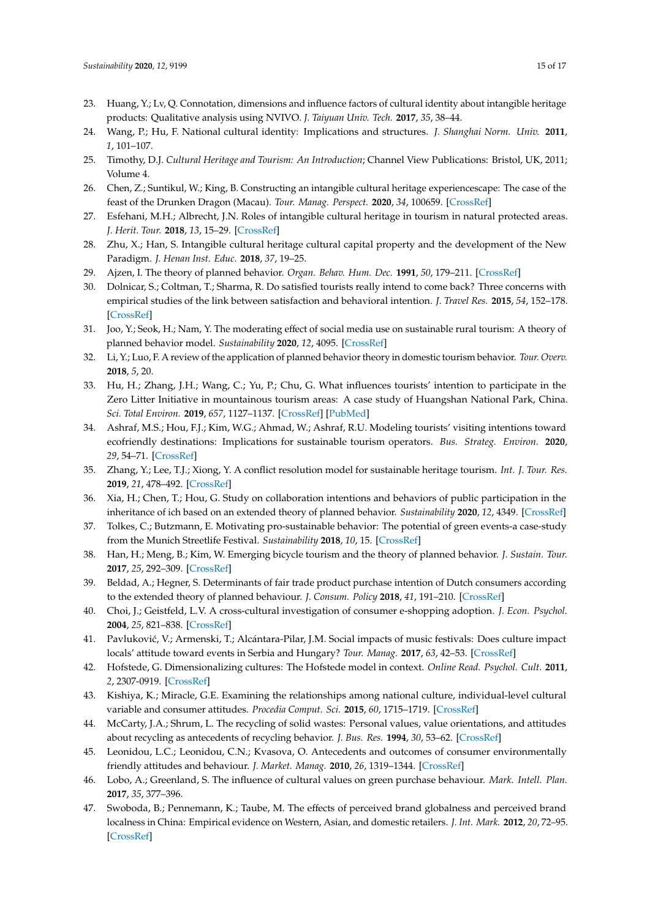- <span id="page-14-0"></span>23. Huang, Y.; Lv, Q. Connotation, dimensions and influence factors of cultural identity about intangible heritage products: Qualitative analysis using NVIVO. *J. Taiyuan Univ. Tech.* **2017**, *35*, 38–44.
- <span id="page-14-1"></span>24. Wang, P.; Hu, F. National cultural identity: Implications and structures. *J. Shanghai Norm. Univ.* **2011**, *1*, 101–107.
- <span id="page-14-2"></span>25. Timothy, D.J. *Cultural Heritage and Tourism: An Introduction*; Channel View Publications: Bristol, UK, 2011; Volume 4.
- <span id="page-14-3"></span>26. Chen, Z.; Suntikul, W.; King, B. Constructing an intangible cultural heritage experiencescape: The case of the feast of the Drunken Dragon (Macau). *Tour. Manag. Perspect.* **2020**, *34*, 100659. [\[CrossRef\]](http://dx.doi.org/10.1016/j.tmp.2020.100659)
- <span id="page-14-4"></span>27. Esfehani, M.H.; Albrecht, J.N. Roles of intangible cultural heritage in tourism in natural protected areas. *J. Herit. Tour.* **2018**, *13*, 15–29. [\[CrossRef\]](http://dx.doi.org/10.1080/1743873X.2016.1245735)
- <span id="page-14-5"></span>28. Zhu, X.; Han, S. Intangible cultural heritage cultural capital property and the development of the New Paradigm. *J. Henan Inst. Educ.* **2018**, *37*, 19–25.
- <span id="page-14-6"></span>29. Ajzen, I. The theory of planned behavior. *Organ. Behav. Hum. Dec.* **1991**, *50*, 179–211. [\[CrossRef\]](http://dx.doi.org/10.1016/0749-5978(91)90020-T)
- <span id="page-14-7"></span>30. Dolnicar, S.; Coltman, T.; Sharma, R. Do satisfied tourists really intend to come back? Three concerns with empirical studies of the link between satisfaction and behavioral intention. *J. Travel Res.* **2015**, *54*, 152–178. [\[CrossRef\]](http://dx.doi.org/10.1177/0047287513513167)
- <span id="page-14-8"></span>31. Joo, Y.; Seok, H.; Nam, Y. The moderating effect of social media use on sustainable rural tourism: A theory of planned behavior model. *Sustainability* **2020**, *12*, 4095. [\[CrossRef\]](http://dx.doi.org/10.3390/su12104095)
- <span id="page-14-9"></span>32. Li, Y.; Luo, F. A review of the application of planned behavior theory in domestic tourism behavior. *Tour. Overv.* **2018**, *5*, 20.
- <span id="page-14-10"></span>33. Hu, H.; Zhang, J.H.; Wang, C.; Yu, P.; Chu, G. What influences tourists' intention to participate in the Zero Litter Initiative in mountainous tourism areas: A case study of Huangshan National Park, China. *Sci. Total Environ.* **2019**, *657*, 1127–1137. [\[CrossRef\]](http://dx.doi.org/10.1016/j.scitotenv.2018.12.114) [\[PubMed\]](http://www.ncbi.nlm.nih.gov/pubmed/30677880)
- <span id="page-14-11"></span>34. Ashraf, M.S.; Hou, F.J.; Kim, W.G.; Ahmad, W.; Ashraf, R.U. Modeling tourists' visiting intentions toward ecofriendly destinations: Implications for sustainable tourism operators. *Bus. Strateg. Environ.* **2020**, *29*, 54–71. [\[CrossRef\]](http://dx.doi.org/10.1002/bse.2350)
- <span id="page-14-12"></span>35. Zhang, Y.; Lee, T.J.; Xiong, Y. A conflict resolution model for sustainable heritage tourism. *Int. J. Tour. Res.* **2019**, *21*, 478–492. [\[CrossRef\]](http://dx.doi.org/10.1002/jtr.2276)
- <span id="page-14-13"></span>36. Xia, H.; Chen, T.; Hou, G. Study on collaboration intentions and behaviors of public participation in the inheritance of ich based on an extended theory of planned behavior. *Sustainability* **2020**, *12*, 4349. [\[CrossRef\]](http://dx.doi.org/10.3390/su12114349)
- <span id="page-14-14"></span>37. Tolkes, C.; Butzmann, E. Motivating pro-sustainable behavior: The potential of green events-a case-study from the Munich Streetlife Festival. *Sustainability* **2018**, *10*, 15. [\[CrossRef\]](http://dx.doi.org/10.3390/su10103731)
- <span id="page-14-15"></span>38. Han, H.; Meng, B.; Kim, W. Emerging bicycle tourism and the theory of planned behavior. *J. Sustain. Tour.* **2017**, *25*, 292–309. [\[CrossRef\]](http://dx.doi.org/10.1080/09669582.2016.1202955)
- <span id="page-14-16"></span>39. Beldad, A.; Hegner, S. Determinants of fair trade product purchase intention of Dutch consumers according to the extended theory of planned behaviour. *J. Consum. Policy* **2018**, *41*, 191–210. [\[CrossRef\]](http://dx.doi.org/10.1007/s10603-018-9384-1)
- <span id="page-14-17"></span>40. Choi, J.; Geistfeld, L.V. A cross-cultural investigation of consumer e-shopping adoption. *J. Econ. Psychol.* **2004**, *25*, 821–838. [\[CrossRef\]](http://dx.doi.org/10.1016/j.joep.2003.08.006)
- <span id="page-14-18"></span>41. Pavlukovi´c, V.; Armenski, T.; Alcántara-Pilar, J.M. Social impacts of music festivals: Does culture impact locals' attitude toward events in Serbia and Hungary? *Tour. Manag.* **2017**, *63*, 42–53. [\[CrossRef\]](http://dx.doi.org/10.1016/j.tourman.2017.06.006)
- <span id="page-14-19"></span>42. Hofstede, G. Dimensionalizing cultures: The Hofstede model in context. *Online Read. Psychol. Cult.* **2011**, *2*, 2307-0919. [\[CrossRef\]](http://dx.doi.org/10.9707/2307-0919.1014)
- <span id="page-14-20"></span>43. Kishiya, K.; Miracle, G.E. Examining the relationships among national culture, individual-level cultural variable and consumer attitudes. *Procedia Comput. Sci.* **2015**, *60*, 1715–1719. [\[CrossRef\]](http://dx.doi.org/10.1016/j.procs.2015.08.281)
- <span id="page-14-21"></span>44. McCarty, J.A.; Shrum, L. The recycling of solid wastes: Personal values, value orientations, and attitudes about recycling as antecedents of recycling behavior. *J. Bus. Res.* **1994**, *30*, 53–62. [\[CrossRef\]](http://dx.doi.org/10.1016/0148-2963(94)90068-X)
- <span id="page-14-22"></span>45. Leonidou, L.C.; Leonidou, C.N.; Kvasova, O. Antecedents and outcomes of consumer environmentally friendly attitudes and behaviour. *J. Market. Manag.* **2010**, *26*, 1319–1344. [\[CrossRef\]](http://dx.doi.org/10.1080/0267257X.2010.523710)
- <span id="page-14-23"></span>46. Lobo, A.; Greenland, S. The influence of cultural values on green purchase behaviour. *Mark. Intell. Plan.* **2017**, *35*, 377–396.
- <span id="page-14-24"></span>47. Swoboda, B.; Pennemann, K.; Taube, M. The effects of perceived brand globalness and perceived brand localness in China: Empirical evidence on Western, Asian, and domestic retailers. *J. Int. Mark.* **2012**, *20*, 72–95. [\[CrossRef\]](http://dx.doi.org/10.1509/jim.12.0105)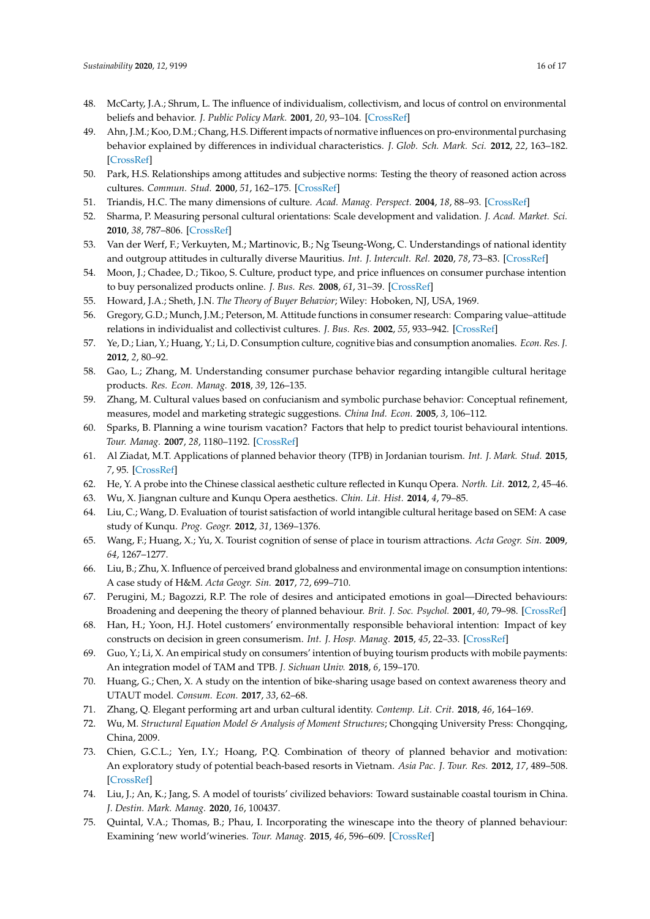- <span id="page-15-0"></span>48. McCarty, J.A.; Shrum, L. The influence of individualism, collectivism, and locus of control on environmental beliefs and behavior. *J. Public Policy Mark.* **2001**, *20*, 93–104. [\[CrossRef\]](http://dx.doi.org/10.1509/jppm.20.1.93.17291)
- <span id="page-15-1"></span>49. Ahn, J.M.; Koo, D.M.; Chang, H.S. Different impacts of normative influences on pro-environmental purchasing behavior explained by differences in individual characteristics. *J. Glob. Sch. Mark. Sci.* **2012**, *22*, 163–182. [\[CrossRef\]](http://dx.doi.org/10.1080/12297119.2012.655098)
- <span id="page-15-2"></span>50. Park, H.S. Relationships among attitudes and subjective norms: Testing the theory of reasoned action across cultures. *Commun. Stud.* **2000**, *51*, 162–175. [\[CrossRef\]](http://dx.doi.org/10.1080/10510970009388516)
- <span id="page-15-3"></span>51. Triandis, H.C. The many dimensions of culture. *Acad. Manag. Perspect.* **2004**, *18*, 88–93. [\[CrossRef\]](http://dx.doi.org/10.5465/ame.2004.12689599)
- <span id="page-15-4"></span>52. Sharma, P. Measuring personal cultural orientations: Scale development and validation. *J. Acad. Market. Sci.* **2010**, *38*, 787–806. [\[CrossRef\]](http://dx.doi.org/10.1007/s11747-009-0184-7)
- <span id="page-15-5"></span>53. Van der Werf, F.; Verkuyten, M.; Martinovic, B.; Ng Tseung-Wong, C. Understandings of national identity and outgroup attitudes in culturally diverse Mauritius. *Int. J. Intercult. Rel.* **2020**, *78*, 73–83. [\[CrossRef\]](http://dx.doi.org/10.1016/j.ijintrel.2019.10.004)
- <span id="page-15-6"></span>54. Moon, J.; Chadee, D.; Tikoo, S. Culture, product type, and price influences on consumer purchase intention to buy personalized products online. *J. Bus. Res.* **2008**, *61*, 31–39. [\[CrossRef\]](http://dx.doi.org/10.1016/j.jbusres.2006.05.012)
- <span id="page-15-7"></span>55. Howard, J.A.; Sheth, J.N. *The Theory of Buyer Behavior*; Wiley: Hoboken, NJ, USA, 1969.
- <span id="page-15-8"></span>56. Gregory, G.D.; Munch, J.M.; Peterson, M. Attitude functions in consumer research: Comparing value–attitude relations in individualist and collectivist cultures. *J. Bus. Res.* **2002**, *55*, 933–942. [\[CrossRef\]](http://dx.doi.org/10.1016/S0148-2963(01)00213-2)
- <span id="page-15-9"></span>57. Ye, D.; Lian, Y.; Huang, Y.; Li, D. Consumption culture, cognitive bias and consumption anomalies. *Econ. Res. J.* **2012**, *2*, 80–92.
- <span id="page-15-10"></span>58. Gao, L.; Zhang, M. Understanding consumer purchase behavior regarding intangible cultural heritage products. *Res. Econ. Manag.* **2018**, *39*, 126–135.
- <span id="page-15-11"></span>59. Zhang, M. Cultural values based on confucianism and symbolic purchase behavior: Conceptual refinement, measures, model and marketing strategic suggestions. *China Ind. Econ.* **2005**, *3*, 106–112.
- <span id="page-15-12"></span>60. Sparks, B. Planning a wine tourism vacation? Factors that help to predict tourist behavioural intentions. *Tour. Manag.* **2007**, *28*, 1180–1192. [\[CrossRef\]](http://dx.doi.org/10.1016/j.tourman.2006.11.003)
- <span id="page-15-13"></span>61. Al Ziadat, M.T. Applications of planned behavior theory (TPB) in Jordanian tourism. *Int. J. Mark. Stud.* **2015**, *7*, 95. [\[CrossRef\]](http://dx.doi.org/10.5539/ijms.v7n3p95)
- <span id="page-15-14"></span>62. He, Y. A probe into the Chinese classical aesthetic culture reflected in Kunqu Opera. *North. Lit.* **2012**, *2*, 45–46.
- <span id="page-15-15"></span>63. Wu, X. Jiangnan culture and Kunqu Opera aesthetics. *Chin. Lit. Hist.* **2014**, *4*, 79–85.
- <span id="page-15-16"></span>64. Liu, C.; Wang, D. Evaluation of tourist satisfaction of world intangible cultural heritage based on SEM: A case study of Kunqu. *Prog. Geogr.* **2012**, *31*, 1369–1376.
- <span id="page-15-17"></span>65. Wang, F.; Huang, X.; Yu, X. Tourist cognition of sense of place in tourism attractions. *Acta Geogr. Sin.* **2009**, *64*, 1267–1277.
- <span id="page-15-18"></span>66. Liu, B.; Zhu, X. Influence of perceived brand globalness and environmental image on consumption intentions: A case study of H&M. *Acta Geogr. Sin.* **2017**, *72*, 699–710.
- <span id="page-15-19"></span>67. Perugini, M.; Bagozzi, R.P. The role of desires and anticipated emotions in goal—Directed behaviours: Broadening and deepening the theory of planned behaviour. *Brit. J. Soc. Psychol.* **2001**, *40*, 79–98. [\[CrossRef\]](http://dx.doi.org/10.1348/014466601164704)
- <span id="page-15-23"></span>68. Han, H.; Yoon, H.J. Hotel customers' environmentally responsible behavioral intention: Impact of key constructs on decision in green consumerism. *Int. J. Hosp. Manag.* **2015**, *45*, 22–33. [\[CrossRef\]](http://dx.doi.org/10.1016/j.ijhm.2014.11.004)
- <span id="page-15-20"></span>69. Guo, Y.; Li, X. An empirical study on consumers' intention of buying tourism products with mobile payments: An integration model of TAM and TPB. *J. Sichuan Univ.* **2018**, *6*, 159–170.
- <span id="page-15-21"></span>70. Huang, G.; Chen, X. A study on the intention of bike-sharing usage based on context awareness theory and UTAUT model. *Consum. Econ.* **2017**, *33*, 62–68.
- <span id="page-15-22"></span>71. Zhang, Q. Elegant performing art and urban cultural identity. *Contemp. Lit. Crit.* **2018**, *46*, 164–169.
- <span id="page-15-24"></span>72. Wu, M. *Structural Equation Model & Analysis of Moment Structures*; Chongqing University Press: Chongqing, China, 2009.
- <span id="page-15-25"></span>73. Chien, G.C.L.; Yen, I.Y.; Hoang, P.Q. Combination of theory of planned behavior and motivation: An exploratory study of potential beach-based resorts in Vietnam. *Asia Pac. J. Tour. Res.* **2012**, *17*, 489–508. [\[CrossRef\]](http://dx.doi.org/10.1080/10941665.2011.627352)
- <span id="page-15-26"></span>74. Liu, J.; An, K.; Jang, S. A model of tourists' civilized behaviors: Toward sustainable coastal tourism in China. *J. Destin. Mark. Manag.* **2020**, *16*, 100437.
- <span id="page-15-27"></span>75. Quintal, V.A.; Thomas, B.; Phau, I. Incorporating the winescape into the theory of planned behaviour: Examining 'new world'wineries. *Tour. Manag.* **2015**, *46*, 596–609. [\[CrossRef\]](http://dx.doi.org/10.1016/j.tourman.2014.08.013)